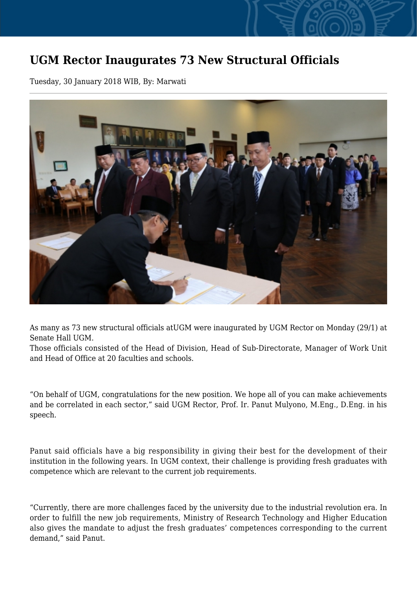## **UGM Rector Inaugurates 73 New Structural Officials**

Tuesday, 30 January 2018 WIB, By: Marwati



As many as 73 new structural officials atUGM were inaugurated by UGM Rector on Monday (29/1) at Senate Hall UGM.

Those officials consisted of the Head of Division, Head of Sub-Directorate, Manager of Work Unit and Head of Office at 20 faculties and schools.

"On behalf of UGM, congratulations for the new position. We hope all of you can make achievements and be correlated in each sector," said UGM Rector, Prof. Ir. Panut Mulyono, M.Eng., D.Eng. in his speech.

Panut said officials have a big responsibility in giving their best for the development of their institution in the following years. In UGM context, their challenge is providing fresh graduates with competence which are relevant to the current job requirements.

"Currently, there are more challenges faced by the university due to the industrial revolution era. In order to fulfill the new job requirements, Ministry of Research Technology and Higher Education also gives the mandate to adjust the fresh graduates' competences corresponding to the current demand," said Panut.